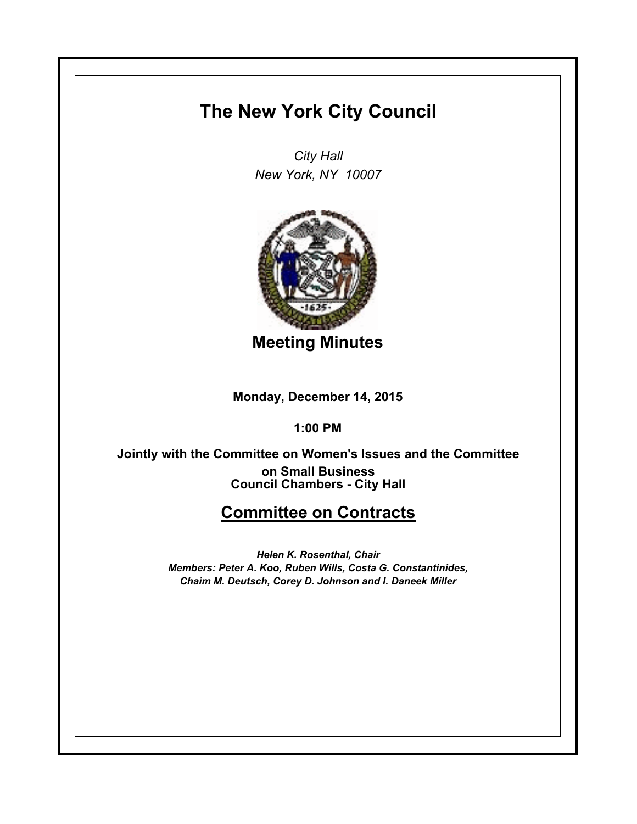# **The New York City Council**

*City Hall New York, NY 10007*



**Meeting Minutes**

**Monday, December 14, 2015**

**1:00 PM**

**Council Chambers - City Hall Jointly with the Committee on Women's Issues and the Committee on Small Business**

## **Committee on Contracts**

*Helen K. Rosenthal, Chair Members: Peter A. Koo, Ruben Wills, Costa G. Constantinides, Chaim M. Deutsch, Corey D. Johnson and I. Daneek Miller*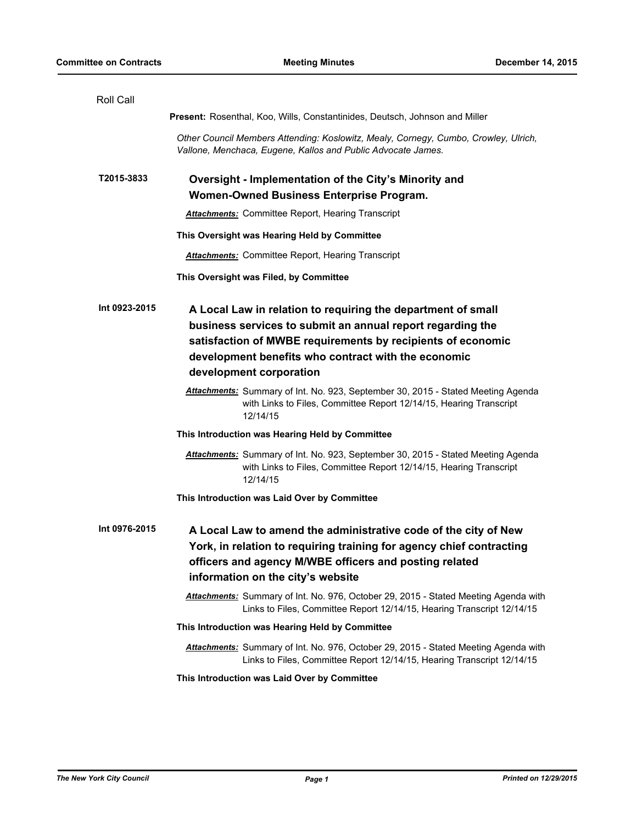| <b>Roll Call</b> |                                                                                                                                                                                                                                                                             |
|------------------|-----------------------------------------------------------------------------------------------------------------------------------------------------------------------------------------------------------------------------------------------------------------------------|
|                  | Present: Rosenthal, Koo, Wills, Constantinides, Deutsch, Johnson and Miller                                                                                                                                                                                                 |
|                  | Other Council Members Attending: Koslowitz, Mealy, Cornegy, Cumbo, Crowley, Ulrich,<br>Vallone, Menchaca, Eugene, Kallos and Public Advocate James.                                                                                                                         |
| T2015-3833       | Oversight - Implementation of the City's Minority and<br>Women-Owned Business Enterprise Program.                                                                                                                                                                           |
|                  | <b>Attachments:</b> Committee Report, Hearing Transcript                                                                                                                                                                                                                    |
|                  | This Oversight was Hearing Held by Committee                                                                                                                                                                                                                                |
|                  | <b>Attachments:</b> Committee Report, Hearing Transcript                                                                                                                                                                                                                    |
|                  | This Oversight was Filed, by Committee                                                                                                                                                                                                                                      |
| Int 0923-2015    | A Local Law in relation to requiring the department of small<br>business services to submit an annual report regarding the<br>satisfaction of MWBE requirements by recipients of economic<br>development benefits who contract with the economic<br>development corporation |
|                  | Attachments: Summary of Int. No. 923, September 30, 2015 - Stated Meeting Agenda<br>with Links to Files, Committee Report 12/14/15, Hearing Transcript<br>12/14/15                                                                                                          |
|                  | This Introduction was Hearing Held by Committee                                                                                                                                                                                                                             |
|                  | Attachments: Summary of Int. No. 923, September 30, 2015 - Stated Meeting Agenda<br>with Links to Files, Committee Report 12/14/15, Hearing Transcript<br>12/14/15                                                                                                          |
|                  | This Introduction was Laid Over by Committee                                                                                                                                                                                                                                |
| Int 0976-2015    | A Local Law to amend the administrative code of the city of New<br>York, in relation to requiring training for agency chief contracting<br>officers and agency M/WBE officers and posting related<br>information on the city's website                                      |
|                  | <b>Attachments:</b> Summary of Int. No. 976, October 29, 2015 - Stated Meeting Agenda with<br>Links to Files, Committee Report 12/14/15, Hearing Transcript 12/14/15                                                                                                        |
|                  | This Introduction was Hearing Held by Committee                                                                                                                                                                                                                             |
|                  | Attachments: Summary of Int. No. 976, October 29, 2015 - Stated Meeting Agenda with<br>Links to Files, Committee Report 12/14/15, Hearing Transcript 12/14/15                                                                                                               |
|                  | This Introduction was Laid Over by Committee                                                                                                                                                                                                                                |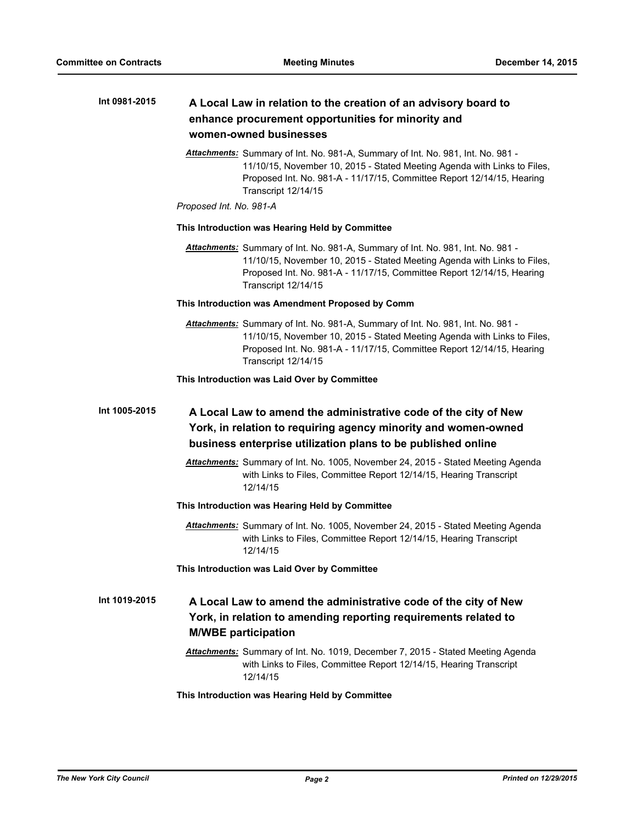## **A Local Law in relation to the creation of an advisory board to enhance procurement opportunities for minority and women-owned businesses Int 0981-2015**

*Attachments:* Summary of Int. No. 981-A, Summary of Int. No. 981, Int. No. 981 - 11/10/15, November 10, 2015 - Stated Meeting Agenda with Links to Files, Proposed Int. No. 981-A - 11/17/15, Committee Report 12/14/15, Hearing Transcript 12/14/15

## *Proposed Int. No. 981-A*

### **This Introduction was Hearing Held by Committee**

*Attachments:* Summary of Int. No. 981-A, Summary of Int. No. 981, Int. No. 981 - 11/10/15, November 10, 2015 - Stated Meeting Agenda with Links to Files, Proposed Int. No. 981-A - 11/17/15, Committee Report 12/14/15, Hearing Transcript 12/14/15

## **This Introduction was Amendment Proposed by Comm**

*Attachments:* Summary of Int. No. 981-A, Summary of Int. No. 981, Int. No. 981 - 11/10/15, November 10, 2015 - Stated Meeting Agenda with Links to Files, Proposed Int. No. 981-A - 11/17/15, Committee Report 12/14/15, Hearing Transcript 12/14/15

## **This Introduction was Laid Over by Committee**

## **A Local Law to amend the administrative code of the city of New York, in relation to requiring agency minority and women-owned business enterprise utilization plans to be published online Int 1005-2015**

*Attachments:* Summary of Int. No. 1005, November 24, 2015 - Stated Meeting Agenda with Links to Files, Committee Report 12/14/15, Hearing Transcript 12/14/15

## **This Introduction was Hearing Held by Committee**

*Attachments:* Summary of Int. No. 1005, November 24, 2015 - Stated Meeting Agenda with Links to Files, Committee Report 12/14/15, Hearing Transcript 12/14/15

#### **This Introduction was Laid Over by Committee**

## **A Local Law to amend the administrative code of the city of New York, in relation to amending reporting requirements related to M/WBE participation Int 1019-2015**

*Attachments:* Summary of Int. No. 1019, December 7, 2015 - Stated Meeting Agenda with Links to Files, Committee Report 12/14/15, Hearing Transcript 12/14/15

## **This Introduction was Hearing Held by Committee**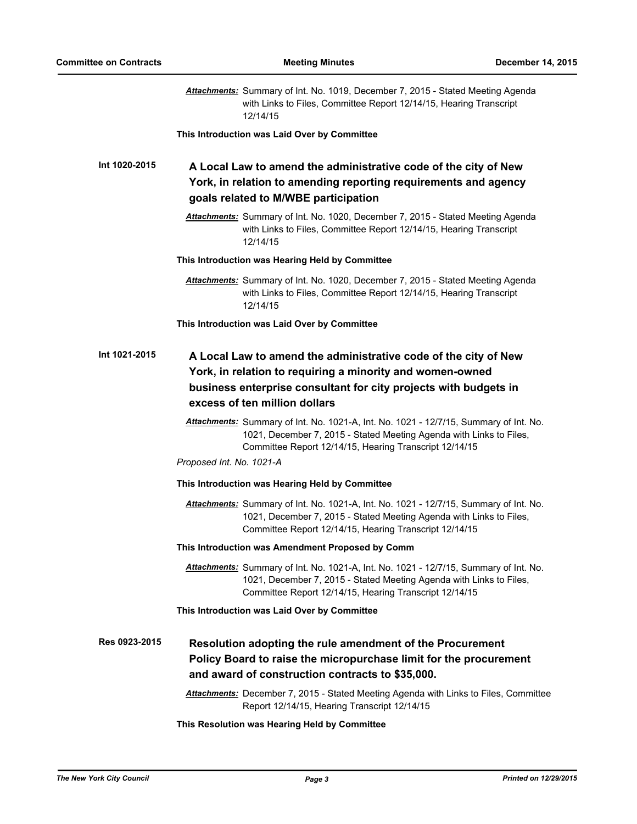|               | Attachments: Summary of Int. No. 1019, December 7, 2015 - Stated Meeting Agenda<br>with Links to Files, Committee Report 12/14/15, Hearing Transcript<br>12/14/15                                                                                  |
|---------------|----------------------------------------------------------------------------------------------------------------------------------------------------------------------------------------------------------------------------------------------------|
|               | This Introduction was Laid Over by Committee                                                                                                                                                                                                       |
| Int 1020-2015 | A Local Law to amend the administrative code of the city of New<br>York, in relation to amending reporting requirements and agency<br>goals related to M/WBE participation                                                                         |
|               | Attachments: Summary of Int. No. 1020, December 7, 2015 - Stated Meeting Agenda<br>with Links to Files, Committee Report 12/14/15, Hearing Transcript<br>12/14/15                                                                                  |
|               | This Introduction was Hearing Held by Committee                                                                                                                                                                                                    |
|               | <b>Attachments:</b> Summary of Int. No. 1020, December 7, 2015 - Stated Meeting Agenda<br>with Links to Files, Committee Report 12/14/15, Hearing Transcript<br>12/14/15                                                                           |
|               | This Introduction was Laid Over by Committee                                                                                                                                                                                                       |
| Int 1021-2015 | A Local Law to amend the administrative code of the city of New<br>York, in relation to requiring a minority and women-owned<br>business enterprise consultant for city projects with budgets in<br>excess of ten million dollars                  |
|               | Attachments: Summary of Int. No. 1021-A, Int. No. 1021 - 12/7/15, Summary of Int. No.<br>1021, December 7, 2015 - Stated Meeting Agenda with Links to Files,<br>Committee Report 12/14/15, Hearing Transcript 12/14/15<br>Proposed Int. No. 1021-A |
|               | This Introduction was Hearing Held by Committee                                                                                                                                                                                                    |
|               | Attachments: Summary of Int. No. 1021-A, Int. No. 1021 - 12/7/15, Summary of Int. No.<br>1021, December 7, 2015 - Stated Meeting Agenda with Links to Files,<br>Committee Report 12/14/15, Hearing Transcript 12/14/15                             |
|               | This Introduction was Amendment Proposed by Comm                                                                                                                                                                                                   |
|               | Attachments: Summary of Int. No. 1021-A, Int. No. 1021 - 12/7/15, Summary of Int. No.<br>1021, December 7, 2015 - Stated Meeting Agenda with Links to Files,<br>Committee Report 12/14/15, Hearing Transcript 12/14/15                             |
|               | This Introduction was Laid Over by Committee                                                                                                                                                                                                       |
| Res 0923-2015 | Resolution adopting the rule amendment of the Procurement                                                                                                                                                                                          |
|               | Policy Board to raise the micropurchase limit for the procurement<br>and award of construction contracts to \$35,000.                                                                                                                              |
|               | Attachments: December 7, 2015 - Stated Meeting Agenda with Links to Files, Committee                                                                                                                                                               |
|               | Report 12/14/15, Hearing Transcript 12/14/15                                                                                                                                                                                                       |
|               | This Depalition was Headpe Hald by Committee                                                                                                                                                                                                       |

## **This Resolution was Hearing Held by Committee**